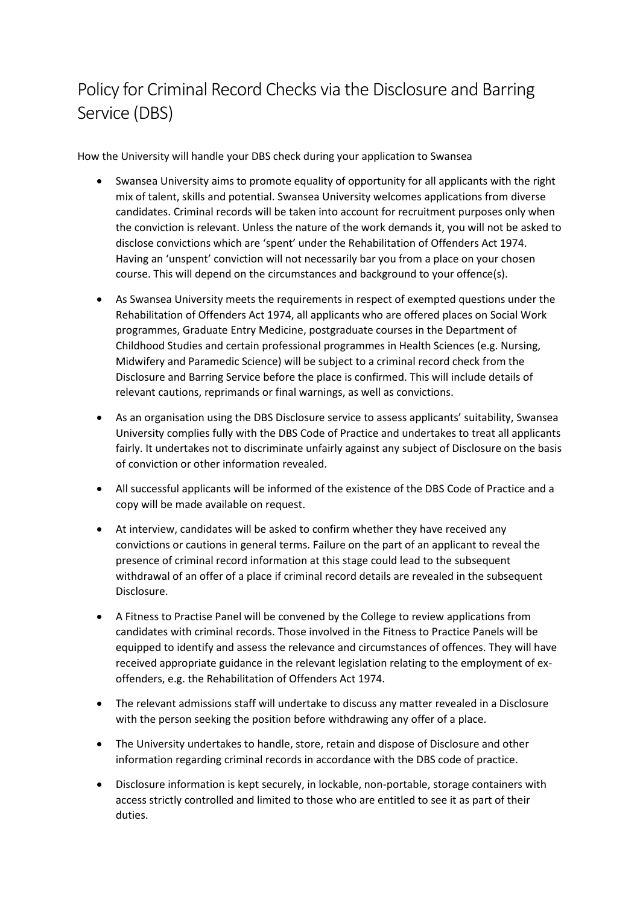## Policy for Criminal Record Checks via the Disclosure and Barring Service (DBS)

How the University will handle your DBS check during your application to Swansea

- Swansea University aims to promote equality of opportunity for all applicants with the right mix of talent, skills and potential. Swansea University welcomes applications from diverse candidates. Criminal records will be taken into account for recruitment purposes only when the conviction is relevant. Unless the nature of the work demands it, you will not be asked to disclose convictions which are 'spent' under the Rehabilitation of Offenders Act 1974. Having an 'unspent' conviction will not necessarily bar you from a place on your chosen course. This will depend on the circumstances and background to your offence(s).
- As Swansea University meets the requirements in respect of exempted questions under the Rehabilitation of Offenders Act 1974, all applicants who are offered places on Social Work programmes, Graduate Entry Medicine, postgraduate courses in the Department of Childhood Studies and certain professional programmes in Health Sciences (e.g. Nursing, Midwifery and Paramedic Science) will be subject to a criminal record check from the Disclosure and Barring Service before the place is confirmed. This will include details of relevant cautions, reprimands or final warnings, as well as convictions.
- As an organisation using the DBS Disclosure service to assess applicants' suitability, Swansea University complies fully with the DBS Code of Practice and undertakes to treat all applicants fairly. It undertakes not to discriminate unfairly against any subject of Disclosure on the basis of conviction or other information revealed.
- All successful applicants will be informed of the existence of the DBS Code of Practice and a copy will be made available on request.
- At interview, candidates will be asked to confirm whether they have received any convictions or cautions in general terms. Failure on the part of an applicant to reveal the presence of criminal record information at this stage could lead to the subsequent withdrawal of an offer of a place if criminal record details are revealed in the subsequent Disclosure.
- A Fitness to Practise Panel will be convened by the College to review applications from candidates with criminal records. Those involved in the Fitness to Practice Panels will be equipped to identify and assess the relevance and circumstances of offences. They will have received appropriate guidance in the relevant legislation relating to the employment of exoffenders, e.g. the Rehabilitation of Offenders Act 1974.
- The relevant admissions staff will undertake to discuss any matter revealed in a Disclosure with the person seeking the position before withdrawing any offer of a place.
- The University undertakes to handle, store, retain and dispose of Disclosure and other information regarding criminal records in accordance with the DBS code of practice.
- Disclosure information is kept securely, in lockable, non-portable, storage containers with access strictly controlled and limited to those who are entitled to see it as part of their duties.